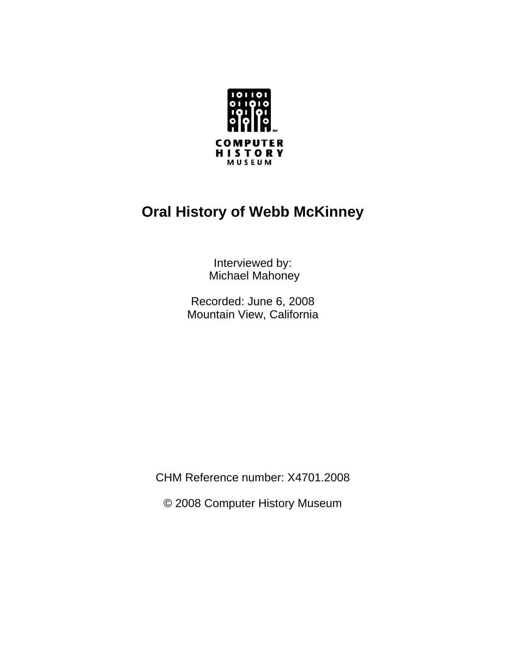

# **Oral History of Webb McKinney**

Interviewed by: Michael Mahoney

Recorded: June 6, 2008 Mountain View, California

CHM Reference number: X4701.2008

© 2008 Computer History Museum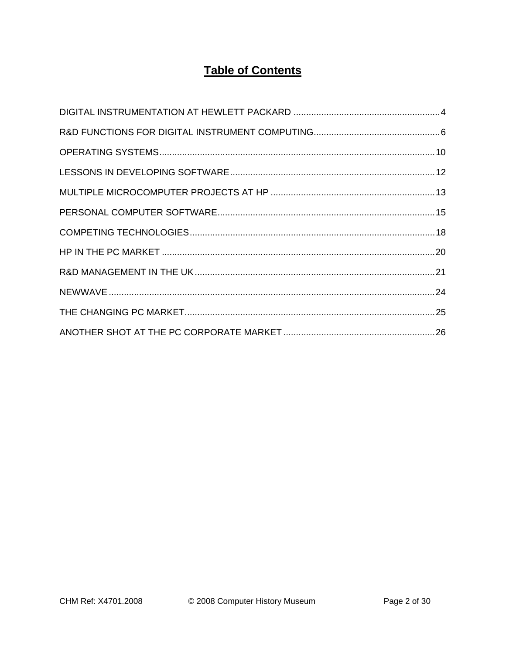# **Table of Contents**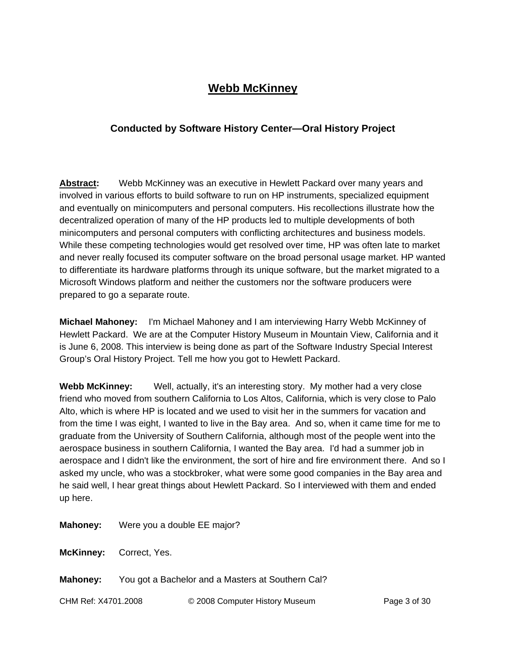# **Webb McKinney**

# **Conducted by Software History Center—Oral History Project**

**Abstract:** Webb McKinney was an executive in Hewlett Packard over many years and involved in various efforts to build software to run on HP instruments, specialized equipment and eventually on minicomputers and personal computers. His recollections illustrate how the decentralized operation of many of the HP products led to multiple developments of both minicomputers and personal computers with conflicting architectures and business models. While these competing technologies would get resolved over time, HP was often late to market and never really focused its computer software on the broad personal usage market. HP wanted to differentiate its hardware platforms through its unique software, but the market migrated to a Microsoft Windows platform and neither the customers nor the software producers were prepared to go a separate route.

**Michael Mahoney:** I'm Michael Mahoney and I am interviewing Harry Webb McKinney of Hewlett Packard. We are at the Computer History Museum in Mountain View, California and it is June 6, 2008. This interview is being done as part of the Software Industry Special Interest Group's Oral History Project. Tell me how you got to Hewlett Packard.

**Webb McKinney:** Well, actually, it's an interesting story. My mother had a very close friend who moved from southern California to Los Altos, California, which is very close to Palo Alto, which is where HP is located and we used to visit her in the summers for vacation and from the time I was eight, I wanted to live in the Bay area. And so, when it came time for me to graduate from the University of Southern California, although most of the people went into the aerospace business in southern California, I wanted the Bay area. I'd had a summer job in aerospace and I didn't like the environment, the sort of hire and fire environment there. And so I asked my uncle, who was a stockbroker, what were some good companies in the Bay area and he said well, I hear great things about Hewlett Packard. So I interviewed with them and ended up here.

**Mahoney:** Were you a double EE major?

**McKinney:** Correct, Yes.

**Mahoney:** You got a Bachelor and a Masters at Southern Cal?

CHM Ref: X4701.2008 © 2008 Computer History Museum Page 3 of 30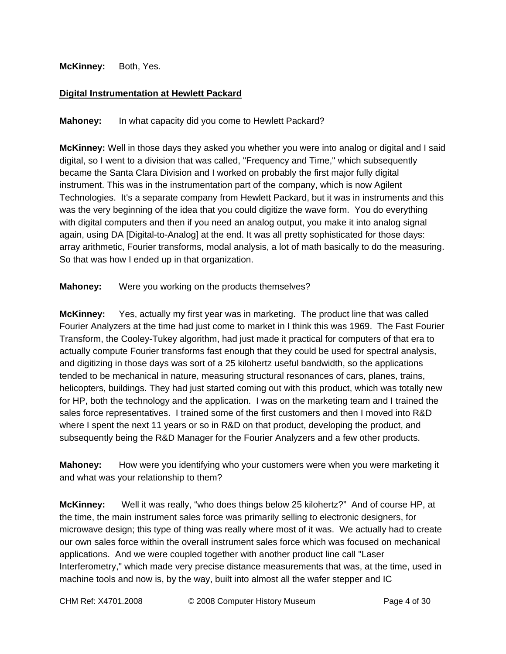# **McKinney:** Both, Yes.

# **Digital Instrumentation at Hewlett Packard**

**Mahoney:** In what capacity did you come to Hewlett Packard?

**McKinney:** Well in those days they asked you whether you were into analog or digital and I said digital, so I went to a division that was called, "Frequency and Time," which subsequently became the Santa Clara Division and I worked on probably the first major fully digital instrument. This was in the instrumentation part of the company, which is now Agilent Technologies. It's a separate company from Hewlett Packard, but it was in instruments and this was the very beginning of the idea that you could digitize the wave form. You do everything with digital computers and then if you need an analog output, you make it into analog signal again, using DA [Digital-to-Analog] at the end. It was all pretty sophisticated for those days: array arithmetic, Fourier transforms, modal analysis, a lot of math basically to do the measuring. So that was how I ended up in that organization.

**Mahoney:** Were you working on the products themselves?

**McKinney:** Yes, actually my first year was in marketing. The product line that was called Fourier Analyzers at the time had just come to market in I think this was 1969. The Fast Fourier Transform, the Cooley-Tukey algorithm, had just made it practical for computers of that era to actually compute Fourier transforms fast enough that they could be used for spectral analysis, and digitizing in those days was sort of a 25 kilohertz useful bandwidth, so the applications tended to be mechanical in nature, measuring structural resonances of cars, planes, trains, helicopters, buildings. They had just started coming out with this product, which was totally new for HP, both the technology and the application. I was on the marketing team and I trained the sales force representatives. I trained some of the first customers and then I moved into R&D where I spent the next 11 years or so in R&D on that product, developing the product, and subsequently being the R&D Manager for the Fourier Analyzers and a few other products.

**Mahoney:** How were you identifying who your customers were when you were marketing it and what was your relationship to them?

**McKinney:** Well it was really, "who does things below 25 kilohertz?" And of course HP, at the time, the main instrument sales force was primarily selling to electronic designers, for microwave design; this type of thing was really where most of it was. We actually had to create our own sales force within the overall instrument sales force which was focused on mechanical applications. And we were coupled together with another product line call "Laser Interferometry," which made very precise distance measurements that was, at the time, used in machine tools and now is, by the way, built into almost all the wafer stepper and IC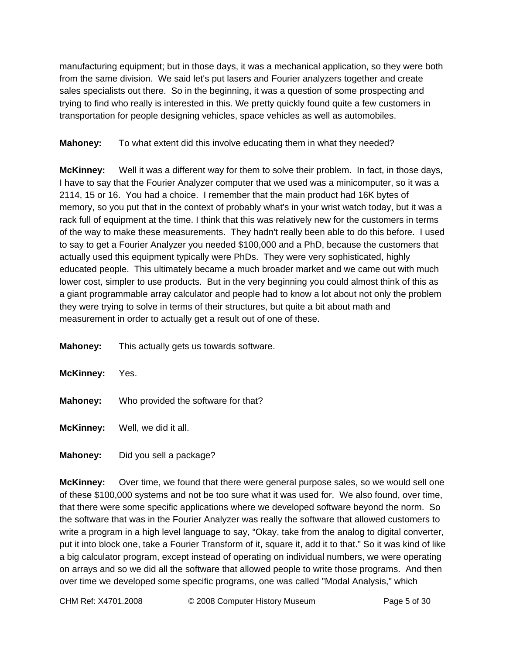manufacturing equipment; but in those days, it was a mechanical application, so they were both from the same division. We said let's put lasers and Fourier analyzers together and create sales specialists out there. So in the beginning, it was a question of some prospecting and trying to find who really is interested in this. We pretty quickly found quite a few customers in transportation for people designing vehicles, space vehicles as well as automobiles.

**Mahoney:** To what extent did this involve educating them in what they needed?

**McKinney:** Well it was a different way for them to solve their problem. In fact, in those days, I have to say that the Fourier Analyzer computer that we used was a minicomputer, so it was a 2114, 15 or 16. You had a choice. I remember that the main product had 16K bytes of memory, so you put that in the context of probably what's in your wrist watch today, but it was a rack full of equipment at the time. I think that this was relatively new for the customers in terms of the way to make these measurements. They hadn't really been able to do this before. I used to say to get a Fourier Analyzer you needed \$100,000 and a PhD, because the customers that actually used this equipment typically were PhDs. They were very sophisticated, highly educated people. This ultimately became a much broader market and we came out with much lower cost, simpler to use products. But in the very beginning you could almost think of this as a giant programmable array calculator and people had to know a lot about not only the problem they were trying to solve in terms of their structures, but quite a bit about math and measurement in order to actually get a result out of one of these.

**Mahoney:** This actually gets us towards software.

| <b>McKinney:</b> Yes. |                                                     |
|-----------------------|-----------------------------------------------------|
|                       | <b>Mahoney:</b> Who provided the software for that? |
|                       | <b>McKinney:</b> Well, we did it all.               |

**Mahoney:** Did you sell a package?

**McKinney:** Over time, we found that there were general purpose sales, so we would sell one of these \$100,000 systems and not be too sure what it was used for. We also found, over time, that there were some specific applications where we developed software beyond the norm. So the software that was in the Fourier Analyzer was really the software that allowed customers to write a program in a high level language to say, "Okay, take from the analog to digital converter, put it into block one, take a Fourier Transform of it, square it, add it to that." So it was kind of like a big calculator program, except instead of operating on individual numbers, we were operating on arrays and so we did all the software that allowed people to write those programs. And then over time we developed some specific programs, one was called "Modal Analysis," which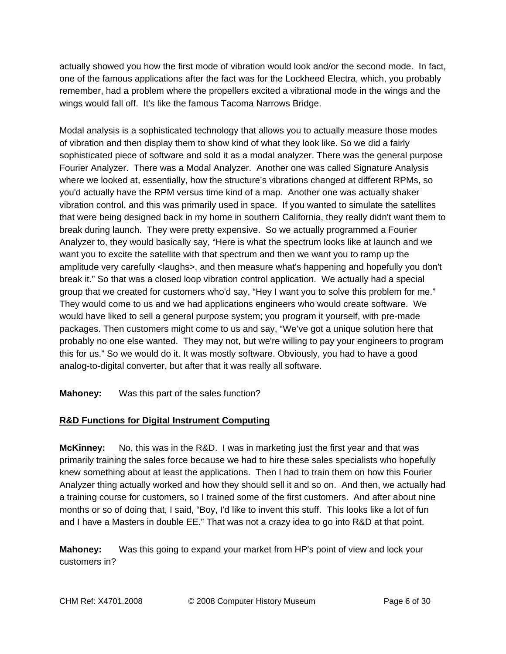actually showed you how the first mode of vibration would look and/or the second mode. In fact, one of the famous applications after the fact was for the Lockheed Electra, which, you probably remember, had a problem where the propellers excited a vibrational mode in the wings and the wings would fall off. It's like the famous Tacoma Narrows Bridge.

Modal analysis is a sophisticated technology that allows you to actually measure those modes of vibration and then display them to show kind of what they look like. So we did a fairly sophisticated piece of software and sold it as a modal analyzer. There was the general purpose Fourier Analyzer. There was a Modal Analyzer. Another one was called Signature Analysis where we looked at, essentially, how the structure's vibrations changed at different RPMs, so you'd actually have the RPM versus time kind of a map. Another one was actually shaker vibration control, and this was primarily used in space. If you wanted to simulate the satellites that were being designed back in my home in southern California, they really didn't want them to break during launch. They were pretty expensive. So we actually programmed a Fourier Analyzer to, they would basically say, "Here is what the spectrum looks like at launch and we want you to excite the satellite with that spectrum and then we want you to ramp up the amplitude very carefully <laughs>, and then measure what's happening and hopefully you don't break it." So that was a closed loop vibration control application. We actually had a special group that we created for customers who'd say, "Hey I want you to solve this problem for me." They would come to us and we had applications engineers who would create software. We would have liked to sell a general purpose system; you program it yourself, with pre-made packages. Then customers might come to us and say, "We've got a unique solution here that probably no one else wanted. They may not, but we're willing to pay your engineers to program this for us." So we would do it. It was mostly software. Obviously, you had to have a good analog-to-digital converter, but after that it was really all software.

**Mahoney:** Was this part of the sales function?

# **R&D Functions for Digital Instrument Computing**

**McKinney:** No, this was in the R&D. I was in marketing just the first year and that was primarily training the sales force because we had to hire these sales specialists who hopefully knew something about at least the applications. Then I had to train them on how this Fourier Analyzer thing actually worked and how they should sell it and so on. And then, we actually had a training course for customers, so I trained some of the first customers. And after about nine months or so of doing that, I said, "Boy, I'd like to invent this stuff. This looks like a lot of fun and I have a Masters in double EE." That was not a crazy idea to go into R&D at that point.

**Mahoney:** Was this going to expand your market from HP's point of view and lock your customers in?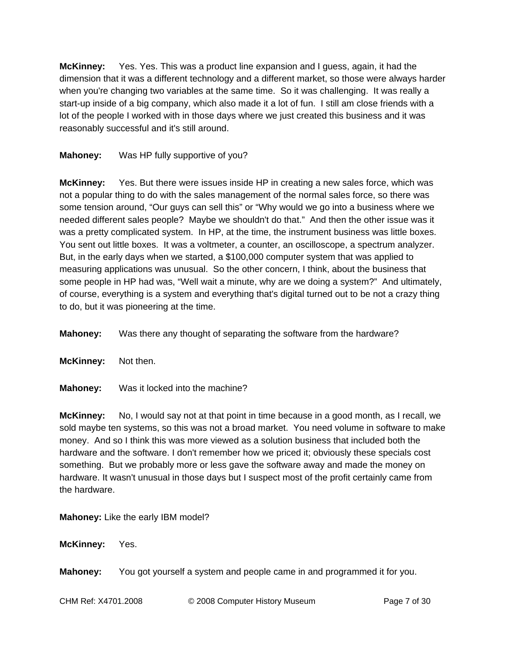**McKinney:** Yes. Yes. This was a product line expansion and I guess, again, it had the dimension that it was a different technology and a different market, so those were always harder when you're changing two variables at the same time. So it was challenging. It was really a start-up inside of a big company, which also made it a lot of fun. I still am close friends with a lot of the people I worked with in those days where we just created this business and it was reasonably successful and it's still around.

# **Mahoney:** Was HP fully supportive of you?

**McKinney:** Yes. But there were issues inside HP in creating a new sales force, which was not a popular thing to do with the sales management of the normal sales force, so there was some tension around, "Our guys can sell this" or "Why would we go into a business where we needed different sales people? Maybe we shouldn't do that." And then the other issue was it was a pretty complicated system. In HP, at the time, the instrument business was little boxes. You sent out little boxes. It was a voltmeter, a counter, an oscilloscope, a spectrum analyzer. But, in the early days when we started, a \$100,000 computer system that was applied to measuring applications was unusual. So the other concern, I think, about the business that some people in HP had was, "Well wait a minute, why are we doing a system?" And ultimately, of course, everything is a system and everything that's digital turned out to be not a crazy thing to do, but it was pioneering at the time.

**Mahoney:** Was there any thought of separating the software from the hardware?

**McKinney:** Not then.

**Mahoney:** Was it locked into the machine?

**McKinney:** No, I would say not at that point in time because in a good month, as I recall, we sold maybe ten systems, so this was not a broad market. You need volume in software to make money. And so I think this was more viewed as a solution business that included both the hardware and the software. I don't remember how we priced it; obviously these specials cost something. But we probably more or less gave the software away and made the money on hardware. It wasn't unusual in those days but I suspect most of the profit certainly came from the hardware.

**Mahoney:** Like the early IBM model?

**McKinney:** Yes.

**Mahoney:** You got yourself a system and people came in and programmed it for you.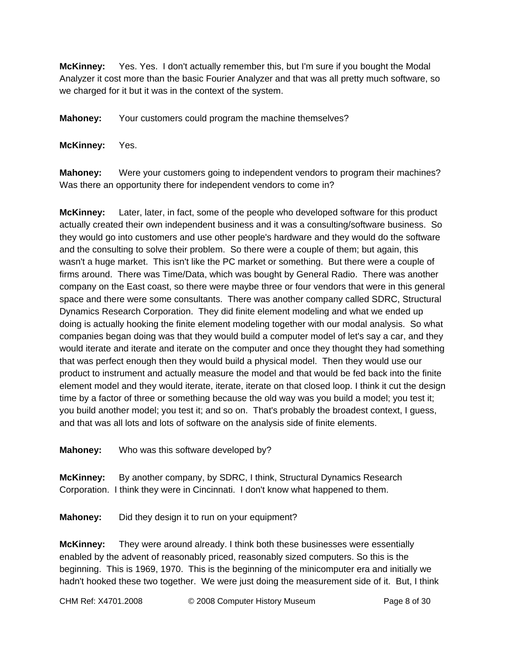**McKinney:** Yes. Yes. I don't actually remember this, but I'm sure if you bought the Modal Analyzer it cost more than the basic Fourier Analyzer and that was all pretty much software, so we charged for it but it was in the context of the system.

**Mahoney:** Your customers could program the machine themselves?

**McKinney:** Yes.

**Mahoney:** Were your customers going to independent vendors to program their machines? Was there an opportunity there for independent vendors to come in?

**McKinney:** Later, later, in fact, some of the people who developed software for this product actually created their own independent business and it was a consulting/software business. So they would go into customers and use other people's hardware and they would do the software and the consulting to solve their problem. So there were a couple of them; but again, this wasn't a huge market. This isn't like the PC market or something. But there were a couple of firms around. There was Time/Data, which was bought by General Radio. There was another company on the East coast, so there were maybe three or four vendors that were in this general space and there were some consultants. There was another company called SDRC, Structural Dynamics Research Corporation. They did finite element modeling and what we ended up doing is actually hooking the finite element modeling together with our modal analysis. So what companies began doing was that they would build a computer model of let's say a car, and they would iterate and iterate and iterate on the computer and once they thought they had something that was perfect enough then they would build a physical model. Then they would use our product to instrument and actually measure the model and that would be fed back into the finite element model and they would iterate, iterate, iterate on that closed loop. I think it cut the design time by a factor of three or something because the old way was you build a model; you test it; you build another model; you test it; and so on. That's probably the broadest context, I guess, and that was all lots and lots of software on the analysis side of finite elements.

**Mahoney:** Who was this software developed by?

**McKinney:** By another company, by SDRC, I think, Structural Dynamics Research Corporation. I think they were in Cincinnati. I don't know what happened to them.

**Mahoney:** Did they design it to run on your equipment?

**McKinney:** They were around already. I think both these businesses were essentially enabled by the advent of reasonably priced, reasonably sized computers. So this is the beginning. This is 1969, 1970. This is the beginning of the minicomputer era and initially we hadn't hooked these two together. We were just doing the measurement side of it. But, I think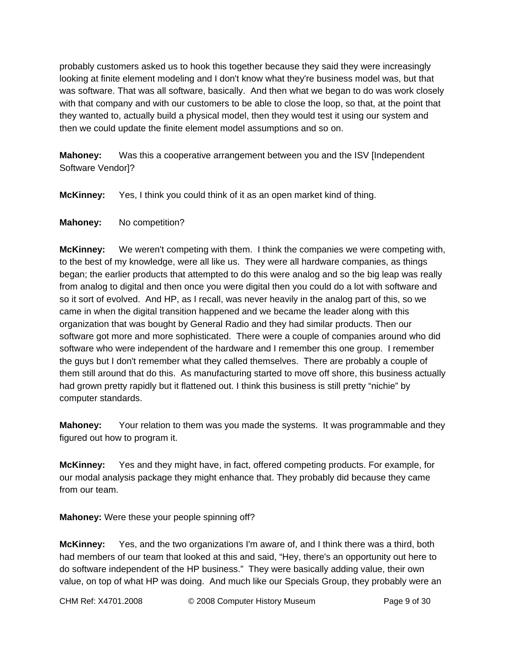probably customers asked us to hook this together because they said they were increasingly looking at finite element modeling and I don't know what they're business model was, but that was software. That was all software, basically. And then what we began to do was work closely with that company and with our customers to be able to close the loop, so that, at the point that they wanted to, actually build a physical model, then they would test it using our system and then we could update the finite element model assumptions and so on.

**Mahoney:** Was this a cooperative arrangement between you and the ISV [Independent Software Vendor]?

**McKinney:** Yes, I think you could think of it as an open market kind of thing.

# **Mahoney:** No competition?

**McKinney:** We weren't competing with them. I think the companies we were competing with, to the best of my knowledge, were all like us. They were all hardware companies, as things began; the earlier products that attempted to do this were analog and so the big leap was really from analog to digital and then once you were digital then you could do a lot with software and so it sort of evolved. And HP, as I recall, was never heavily in the analog part of this, so we came in when the digital transition happened and we became the leader along with this organization that was bought by General Radio and they had similar products. Then our software got more and more sophisticated. There were a couple of companies around who did software who were independent of the hardware and I remember this one group. I remember the guys but I don't remember what they called themselves. There are probably a couple of them still around that do this. As manufacturing started to move off shore, this business actually had grown pretty rapidly but it flattened out. I think this business is still pretty "nichie" by computer standards.

**Mahoney:** Your relation to them was you made the systems. It was programmable and they figured out how to program it.

**McKinney:** Yes and they might have, in fact, offered competing products. For example, for our modal analysis package they might enhance that. They probably did because they came from our team.

**Mahoney:** Were these your people spinning off?

**McKinney:** Yes, and the two organizations I'm aware of, and I think there was a third, both had members of our team that looked at this and said, "Hey, there's an opportunity out here to do software independent of the HP business." They were basically adding value, their own value, on top of what HP was doing. And much like our Specials Group, they probably were an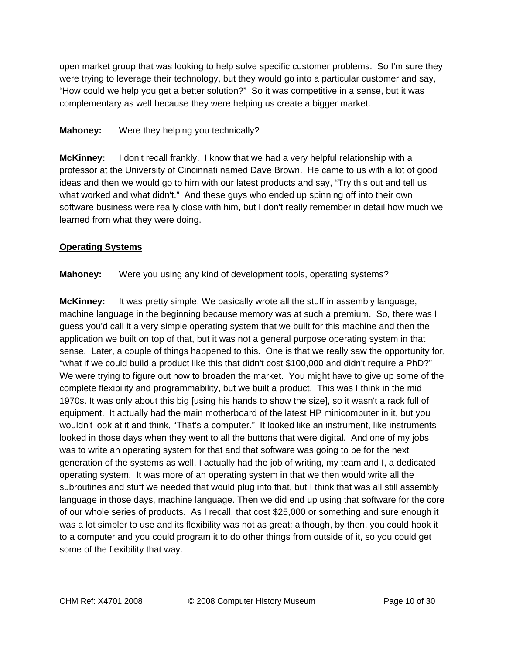open market group that was looking to help solve specific customer problems. So I'm sure they were trying to leverage their technology, but they would go into a particular customer and say, "How could we help you get a better solution?" So it was competitive in a sense, but it was complementary as well because they were helping us create a bigger market.

# **Mahoney:** Were they helping you technically?

**McKinney:** I don't recall frankly. I know that we had a very helpful relationship with a professor at the University of Cincinnati named Dave Brown. He came to us with a lot of good ideas and then we would go to him with our latest products and say, "Try this out and tell us what worked and what didn't." And these guys who ended up spinning off into their own software business were really close with him, but I don't really remember in detail how much we learned from what they were doing.

# **Operating Systems**

**Mahoney:** Were you using any kind of development tools, operating systems?

**McKinney:** It was pretty simple. We basically wrote all the stuff in assembly language, machine language in the beginning because memory was at such a premium. So, there was I guess you'd call it a very simple operating system that we built for this machine and then the application we built on top of that, but it was not a general purpose operating system in that sense. Later, a couple of things happened to this. One is that we really saw the opportunity for, "what if we could build a product like this that didn't cost \$100,000 and didn't require a PhD?" We were trying to figure out how to broaden the market. You might have to give up some of the complete flexibility and programmability, but we built a product. This was I think in the mid 1970s. It was only about this big [using his hands to show the size], so it wasn't a rack full of equipment. It actually had the main motherboard of the latest HP minicomputer in it, but you wouldn't look at it and think, "That's a computer." It looked like an instrument, like instruments looked in those days when they went to all the buttons that were digital. And one of my jobs was to write an operating system for that and that software was going to be for the next generation of the systems as well. I actually had the job of writing, my team and I, a dedicated operating system. It was more of an operating system in that we then would write all the subroutines and stuff we needed that would plug into that, but I think that was all still assembly language in those days, machine language. Then we did end up using that software for the core of our whole series of products. As I recall, that cost \$25,000 or something and sure enough it was a lot simpler to use and its flexibility was not as great; although, by then, you could hook it to a computer and you could program it to do other things from outside of it, so you could get some of the flexibility that way.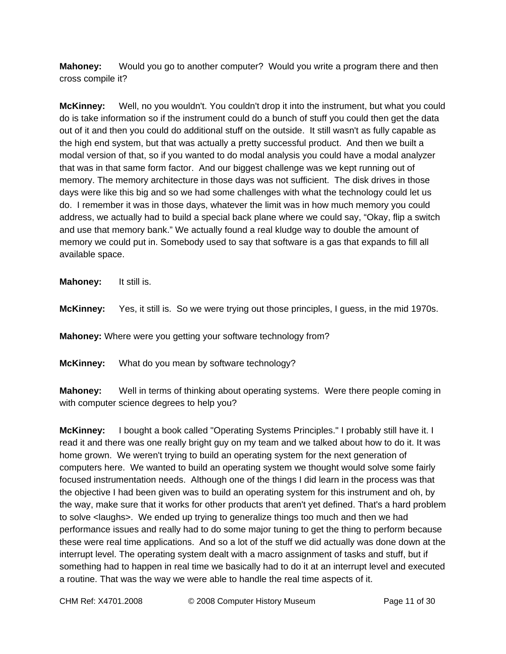**Mahoney:** Would you go to another computer? Would you write a program there and then cross compile it?

**McKinney:** Well, no you wouldn't. You couldn't drop it into the instrument, but what you could do is take information so if the instrument could do a bunch of stuff you could then get the data out of it and then you could do additional stuff on the outside. It still wasn't as fully capable as the high end system, but that was actually a pretty successful product. And then we built a modal version of that, so if you wanted to do modal analysis you could have a modal analyzer that was in that same form factor. And our biggest challenge was we kept running out of memory. The memory architecture in those days was not sufficient. The disk drives in those days were like this big and so we had some challenges with what the technology could let us do. I remember it was in those days, whatever the limit was in how much memory you could address, we actually had to build a special back plane where we could say, "Okay, flip a switch and use that memory bank." We actually found a real kludge way to double the amount of memory we could put in. Somebody used to say that software is a gas that expands to fill all available space.

**Mahoney:** It still is.

**McKinney:** Yes, it still is. So we were trying out those principles, I guess, in the mid 1970s.

**Mahoney:** Where were you getting your software technology from?

**McKinney:** What do you mean by software technology?

**Mahoney:** Well in terms of thinking about operating systems. Were there people coming in with computer science degrees to help you?

**McKinney:** I bought a book called "Operating Systems Principles." I probably still have it. I read it and there was one really bright guy on my team and we talked about how to do it. It was home grown. We weren't trying to build an operating system for the next generation of computers here. We wanted to build an operating system we thought would solve some fairly focused instrumentation needs. Although one of the things I did learn in the process was that the objective I had been given was to build an operating system for this instrument and oh, by the way, make sure that it works for other products that aren't yet defined. That's a hard problem to solve <laughs>. We ended up trying to generalize things too much and then we had performance issues and really had to do some major tuning to get the thing to perform because these were real time applications. And so a lot of the stuff we did actually was done down at the interrupt level. The operating system dealt with a macro assignment of tasks and stuff, but if something had to happen in real time we basically had to do it at an interrupt level and executed a routine. That was the way we were able to handle the real time aspects of it.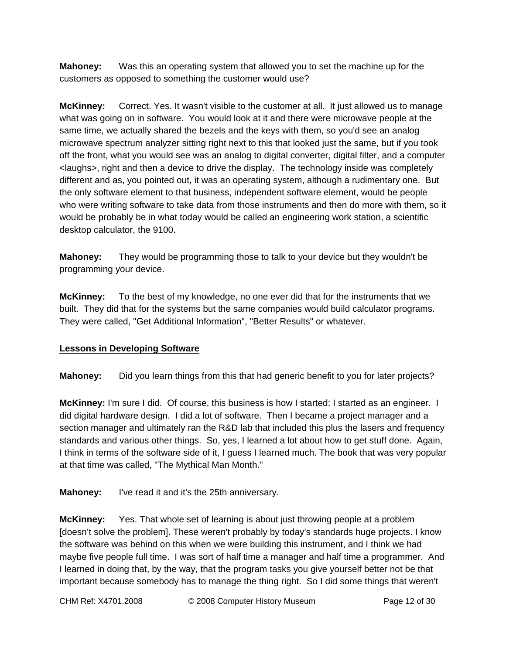**Mahoney:** Was this an operating system that allowed you to set the machine up for the customers as opposed to something the customer would use?

**McKinney:** Correct. Yes. It wasn't visible to the customer at all. It just allowed us to manage what was going on in software. You would look at it and there were microwave people at the same time, we actually shared the bezels and the keys with them, so you'd see an analog microwave spectrum analyzer sitting right next to this that looked just the same, but if you took off the front, what you would see was an analog to digital converter, digital filter, and a computer <laughs>, right and then a device to drive the display. The technology inside was completely different and as, you pointed out, it was an operating system, although a rudimentary one. But the only software element to that business, independent software element, would be people who were writing software to take data from those instruments and then do more with them, so it would be probably be in what today would be called an engineering work station, a scientific desktop calculator, the 9100.

**Mahoney:** They would be programming those to talk to your device but they wouldn't be programming your device.

**McKinney:** To the best of my knowledge, no one ever did that for the instruments that we built. They did that for the systems but the same companies would build calculator programs. They were called, "Get Additional Information", "Better Results" or whatever.

### **Lessons in Developing Software**

**Mahoney:** Did you learn things from this that had generic benefit to you for later projects?

**McKinney:** I'm sure I did. Of course, this business is how I started; I started as an engineer. I did digital hardware design. I did a lot of software. Then I became a project manager and a section manager and ultimately ran the R&D lab that included this plus the lasers and frequency standards and various other things. So, yes, I learned a lot about how to get stuff done. Again, I think in terms of the software side of it, I guess I learned much. The book that was very popular at that time was called, "The Mythical Man Month."

**Mahoney:** I've read it and it's the 25th anniversary.

**McKinney:** Yes. That whole set of learning is about just throwing people at a problem [doesn't solve the problem]. These weren't probably by today's standards huge projects. I know the software was behind on this when we were building this instrument, and I think we had maybe five people full time. I was sort of half time a manager and half time a programmer. And I learned in doing that, by the way, that the program tasks you give yourself better not be that important because somebody has to manage the thing right. So I did some things that weren't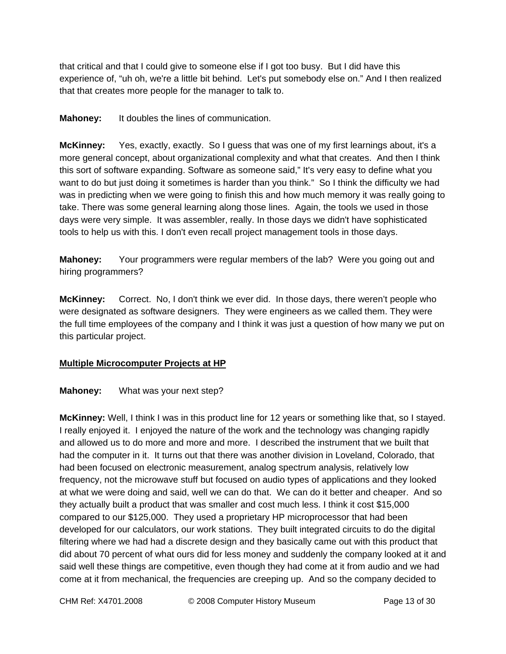that critical and that I could give to someone else if I got too busy. But I did have this experience of, "uh oh, we're a little bit behind. Let's put somebody else on." And I then realized that that creates more people for the manager to talk to.

**Mahoney:** It doubles the lines of communication.

**McKinney:** Yes, exactly, exactly. So I guess that was one of my first learnings about, it's a more general concept, about organizational complexity and what that creates. And then I think this sort of software expanding. Software as someone said," It's very easy to define what you want to do but just doing it sometimes is harder than you think." So I think the difficulty we had was in predicting when we were going to finish this and how much memory it was really going to take. There was some general learning along those lines. Again, the tools we used in those days were very simple. It was assembler, really. In those days we didn't have sophisticated tools to help us with this. I don't even recall project management tools in those days.

**Mahoney:** Your programmers were regular members of the lab? Were you going out and hiring programmers?

**McKinney:** Correct. No, I don't think we ever did. In those days, there weren't people who were designated as software designers. They were engineers as we called them. They were the full time employees of the company and I think it was just a question of how many we put on this particular project.

# **Multiple Microcomputer Projects at HP**

### **Mahoney:** What was your next step?

**McKinney:** Well, I think I was in this product line for 12 years or something like that, so I stayed. I really enjoyed it. I enjoyed the nature of the work and the technology was changing rapidly and allowed us to do more and more and more. I described the instrument that we built that had the computer in it. It turns out that there was another division in Loveland, Colorado, that had been focused on electronic measurement, analog spectrum analysis, relatively low frequency, not the microwave stuff but focused on audio types of applications and they looked at what we were doing and said, well we can do that. We can do it better and cheaper. And so they actually built a product that was smaller and cost much less. I think it cost \$15,000 compared to our \$125,000. They used a proprietary HP microprocessor that had been developed for our calculators, our work stations. They built integrated circuits to do the digital filtering where we had had a discrete design and they basically came out with this product that did about 70 percent of what ours did for less money and suddenly the company looked at it and said well these things are competitive, even though they had come at it from audio and we had come at it from mechanical, the frequencies are creeping up. And so the company decided to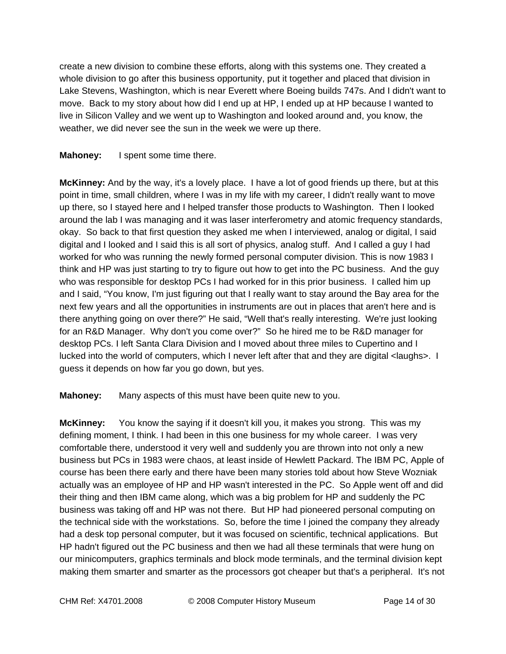create a new division to combine these efforts, along with this systems one. They created a whole division to go after this business opportunity, put it together and placed that division in Lake Stevens, Washington, which is near Everett where Boeing builds 747s. And I didn't want to move. Back to my story about how did I end up at HP, I ended up at HP because I wanted to live in Silicon Valley and we went up to Washington and looked around and, you know, the weather, we did never see the sun in the week we were up there.

# **Mahoney:** I spent some time there.

**McKinney:** And by the way, it's a lovely place. I have a lot of good friends up there, but at this point in time, small children, where I was in my life with my career, I didn't really want to move up there, so I stayed here and I helped transfer those products to Washington. Then I looked around the lab I was managing and it was laser interferometry and atomic frequency standards, okay. So back to that first question they asked me when I interviewed, analog or digital, I said digital and I looked and I said this is all sort of physics, analog stuff. And I called a guy I had worked for who was running the newly formed personal computer division. This is now 1983 I think and HP was just starting to try to figure out how to get into the PC business. And the guy who was responsible for desktop PCs I had worked for in this prior business. I called him up and I said, "You know, I'm just figuring out that I really want to stay around the Bay area for the next few years and all the opportunities in instruments are out in places that aren't here and is there anything going on over there?" He said, "Well that's really interesting. We're just looking for an R&D Manager. Why don't you come over?" So he hired me to be R&D manager for desktop PCs. I left Santa Clara Division and I moved about three miles to Cupertino and I lucked into the world of computers, which I never left after that and they are digital <laughs>. I guess it depends on how far you go down, but yes.

**Mahoney:** Many aspects of this must have been quite new to you.

**McKinney:** You know the saying if it doesn't kill you, it makes you strong. This was my defining moment, I think. I had been in this one business for my whole career. I was very comfortable there, understood it very well and suddenly you are thrown into not only a new business but PCs in 1983 were chaos, at least inside of Hewlett Packard. The IBM PC, Apple of course has been there early and there have been many stories told about how Steve Wozniak actually was an employee of HP and HP wasn't interested in the PC. So Apple went off and did their thing and then IBM came along, which was a big problem for HP and suddenly the PC business was taking off and HP was not there. But HP had pioneered personal computing on the technical side with the workstations. So, before the time I joined the company they already had a desk top personal computer, but it was focused on scientific, technical applications. But HP hadn't figured out the PC business and then we had all these terminals that were hung on our minicomputers, graphics terminals and block mode terminals, and the terminal division kept making them smarter and smarter as the processors got cheaper but that's a peripheral. It's not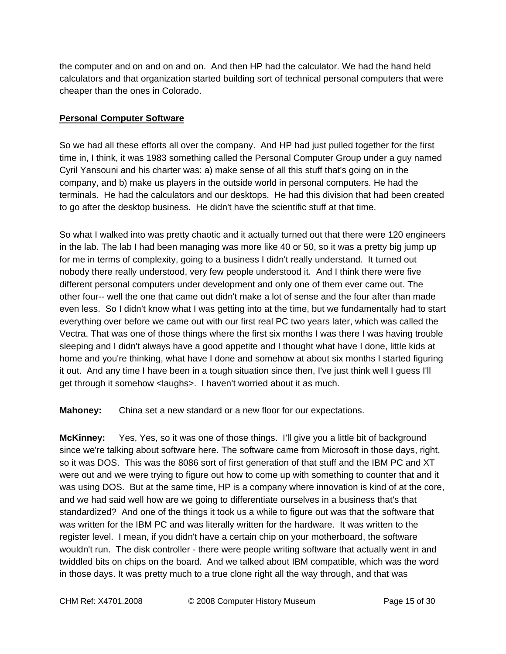the computer and on and on and on. And then HP had the calculator. We had the hand held calculators and that organization started building sort of technical personal computers that were cheaper than the ones in Colorado.

# **Personal Computer Software**

So we had all these efforts all over the company. And HP had just pulled together for the first time in, I think, it was 1983 something called the Personal Computer Group under a guy named Cyril Yansouni and his charter was: a) make sense of all this stuff that's going on in the company, and b) make us players in the outside world in personal computers. He had the terminals. He had the calculators and our desktops. He had this division that had been created to go after the desktop business. He didn't have the scientific stuff at that time.

So what I walked into was pretty chaotic and it actually turned out that there were 120 engineers in the lab. The lab I had been managing was more like 40 or 50, so it was a pretty big jump up for me in terms of complexity, going to a business I didn't really understand. It turned out nobody there really understood, very few people understood it. And I think there were five different personal computers under development and only one of them ever came out. The other four-- well the one that came out didn't make a lot of sense and the four after than made even less. So I didn't know what I was getting into at the time, but we fundamentally had to start everything over before we came out with our first real PC two years later, which was called the Vectra. That was one of those things where the first six months I was there I was having trouble sleeping and I didn't always have a good appetite and I thought what have I done, little kids at home and you're thinking, what have I done and somehow at about six months I started figuring it out. And any time I have been in a tough situation since then, I've just think well I guess I'll get through it somehow <laughs>. I haven't worried about it as much.

**Mahoney:** China set a new standard or a new floor for our expectations.

**McKinney:** Yes, Yes, so it was one of those things. I'll give you a little bit of background since we're talking about software here. The software came from Microsoft in those days, right, so it was DOS. This was the 8086 sort of first generation of that stuff and the IBM PC and XT were out and we were trying to figure out how to come up with something to counter that and it was using DOS. But at the same time, HP is a company where innovation is kind of at the core, and we had said well how are we going to differentiate ourselves in a business that's that standardized? And one of the things it took us a while to figure out was that the software that was written for the IBM PC and was literally written for the hardware. It was written to the register level. I mean, if you didn't have a certain chip on your motherboard, the software wouldn't run. The disk controller - there were people writing software that actually went in and twiddled bits on chips on the board. And we talked about IBM compatible, which was the word in those days. It was pretty much to a true clone right all the way through, and that was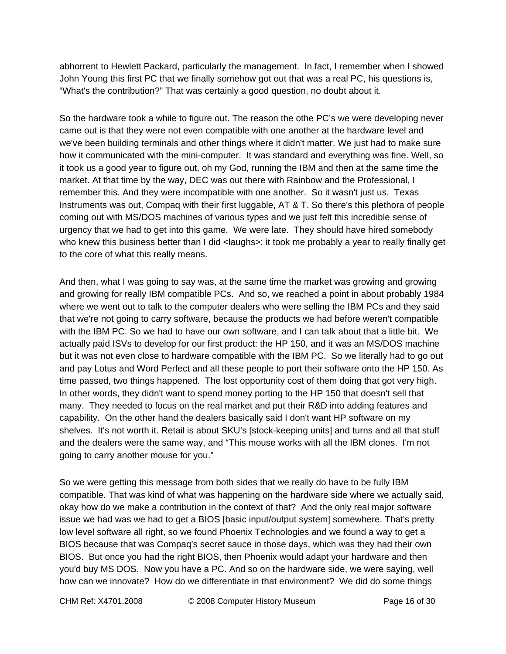abhorrent to Hewlett Packard, particularly the management. In fact, I remember when I showed John Young this first PC that we finally somehow got out that was a real PC, his questions is, "What's the contribution?" That was certainly a good question, no doubt about it.

So the hardware took a while to figure out. The reason the othe PC's we were developing never came out is that they were not even compatible with one another at the hardware level and we've been building terminals and other things where it didn't matter. We just had to make sure how it communicated with the mini-computer. It was standard and everything was fine. Well, so it took us a good year to figure out, oh my God, running the IBM and then at the same time the market. At that time by the way, DEC was out there with Rainbow and the Professional, I remember this. And they were incompatible with one another. So it wasn't just us. Texas Instruments was out, Compaq with their first luggable, AT & T. So there's this plethora of people coming out with MS/DOS machines of various types and we just felt this incredible sense of urgency that we had to get into this game. We were late. They should have hired somebody who knew this business better than I did < laughs>; it took me probably a year to really finally get to the core of what this really means.

And then, what I was going to say was, at the same time the market was growing and growing and growing for really IBM compatible PCs. And so, we reached a point in about probably 1984 where we went out to talk to the computer dealers who were selling the IBM PCs and they said that we're not going to carry software, because the products we had before weren't compatible with the IBM PC. So we had to have our own software, and I can talk about that a little bit. We actually paid ISVs to develop for our first product: the HP 150, and it was an MS/DOS machine but it was not even close to hardware compatible with the IBM PC. So we literally had to go out and pay Lotus and Word Perfect and all these people to port their software onto the HP 150. As time passed, two things happened. The lost opportunity cost of them doing that got very high. In other words, they didn't want to spend money porting to the HP 150 that doesn't sell that many. They needed to focus on the real market and put their R&D into adding features and capability. On the other hand the dealers basically said I don't want HP software on my shelves. It's not worth it. Retail is about SKU's [stock-keeping units] and turns and all that stuff and the dealers were the same way, and "This mouse works with all the IBM clones. I'm not going to carry another mouse for you."

So we were getting this message from both sides that we really do have to be fully IBM compatible. That was kind of what was happening on the hardware side where we actually said, okay how do we make a contribution in the context of that? And the only real major software issue we had was we had to get a BIOS [basic input/output system] somewhere. That's pretty low level software all right, so we found Phoenix Technologies and we found a way to get a BIOS because that was Compaq's secret sauce in those days, which was they had their own BIOS. But once you had the right BIOS, then Phoenix would adapt your hardware and then you'd buy MS DOS. Now you have a PC. And so on the hardware side, we were saying, well how can we innovate? How do we differentiate in that environment? We did do some things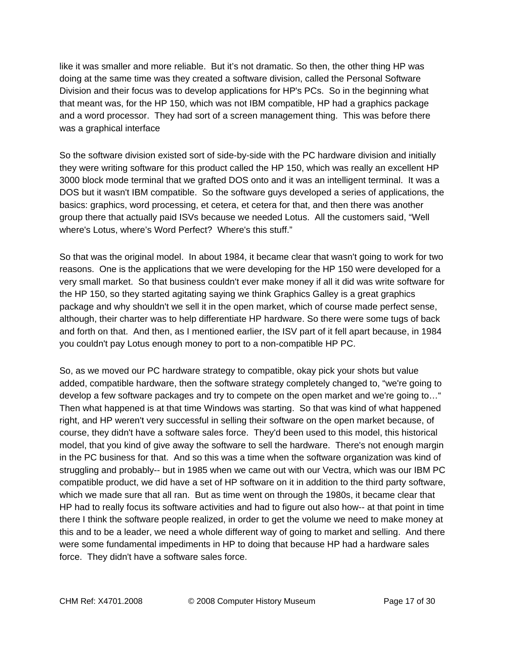like it was smaller and more reliable. But it's not dramatic. So then, the other thing HP was doing at the same time was they created a software division, called the Personal Software Division and their focus was to develop applications for HP's PCs. So in the beginning what that meant was, for the HP 150, which was not IBM compatible, HP had a graphics package and a word processor. They had sort of a screen management thing. This was before there was a graphical interface

So the software division existed sort of side-by-side with the PC hardware division and initially they were writing software for this product called the HP 150, which was really an excellent HP 3000 block mode terminal that we grafted DOS onto and it was an intelligent terminal. It was a DOS but it wasn't IBM compatible. So the software guys developed a series of applications, the basics: graphics, word processing, et cetera, et cetera for that, and then there was another group there that actually paid ISVs because we needed Lotus. All the customers said, "Well where's Lotus, where's Word Perfect? Where's this stuff."

So that was the original model. In about 1984, it became clear that wasn't going to work for two reasons. One is the applications that we were developing for the HP 150 were developed for a very small market. So that business couldn't ever make money if all it did was write software for the HP 150, so they started agitating saying we think Graphics Galley is a great graphics package and why shouldn't we sell it in the open market, which of course made perfect sense, although, their charter was to help differentiate HP hardware. So there were some tugs of back and forth on that. And then, as I mentioned earlier, the ISV part of it fell apart because, in 1984 you couldn't pay Lotus enough money to port to a non-compatible HP PC.

So, as we moved our PC hardware strategy to compatible, okay pick your shots but value added, compatible hardware, then the software strategy completely changed to, "we're going to develop a few software packages and try to compete on the open market and we're going to…" Then what happened is at that time Windows was starting. So that was kind of what happened right, and HP weren't very successful in selling their software on the open market because, of course, they didn't have a software sales force. They'd been used to this model, this historical model, that you kind of give away the software to sell the hardware. There's not enough margin in the PC business for that. And so this was a time when the software organization was kind of struggling and probably-- but in 1985 when we came out with our Vectra, which was our IBM PC compatible product, we did have a set of HP software on it in addition to the third party software, which we made sure that all ran. But as time went on through the 1980s, it became clear that HP had to really focus its software activities and had to figure out also how-- at that point in time there I think the software people realized, in order to get the volume we need to make money at this and to be a leader, we need a whole different way of going to market and selling. And there were some fundamental impediments in HP to doing that because HP had a hardware sales force. They didn't have a software sales force.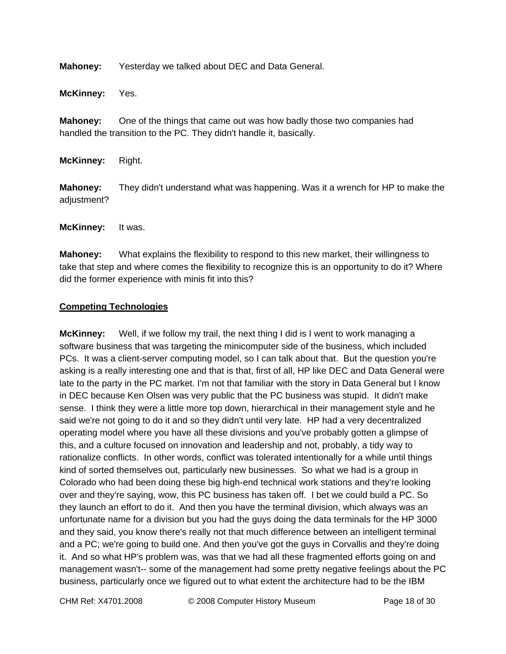**Mahoney:** Yesterday we talked about DEC and Data General.

**McKinney:** Yes.

**Mahoney:** One of the things that came out was how badly those two companies had handled the transition to the PC. They didn't handle it, basically.

**McKinney:** Right.

**Mahoney:** They didn't understand what was happening. Was it a wrench for HP to make the adjustment?

**McKinney:** It was.

**Mahoney:** What explains the flexibility to respond to this new market, their willingness to take that step and where comes the flexibility to recognize this is an opportunity to do it? Where did the former experience with minis fit into this?

#### **Competing Technologies**

**McKinney:** Well, if we follow my trail, the next thing I did is I went to work managing a software business that was targeting the minicomputer side of the business, which included PCs. It was a client-server computing model, so I can talk about that. But the question you're asking is a really interesting one and that is that, first of all, HP like DEC and Data General were late to the party in the PC market. I'm not that familiar with the story in Data General but I know in DEC because Ken Olsen was very public that the PC business was stupid. It didn't make sense. I think they were a little more top down, hierarchical in their management style and he said we're not going to do it and so they didn't until very late. HP had a very decentralized operating model where you have all these divisions and you've probably gotten a glimpse of this, and a culture focused on innovation and leadership and not, probably, a tidy way to rationalize conflicts. In other words, conflict was tolerated intentionally for a while until things kind of sorted themselves out, particularly new businesses. So what we had is a group in Colorado who had been doing these big high-end technical work stations and they're looking over and they're saying, wow, this PC business has taken off. I bet we could build a PC. So they launch an effort to do it. And then you have the terminal division, which always was an unfortunate name for a division but you had the guys doing the data terminals for the HP 3000 and they said, you know there's really not that much difference between an intelligent terminal and a PC; we're going to build one. And then you've got the guys in Corvallis and they're doing it. And so what HP's problem was, was that we had all these fragmented efforts going on and management wasn't-- some of the management had some pretty negative feelings about the PC business, particularly once we figured out to what extent the architecture had to be the IBM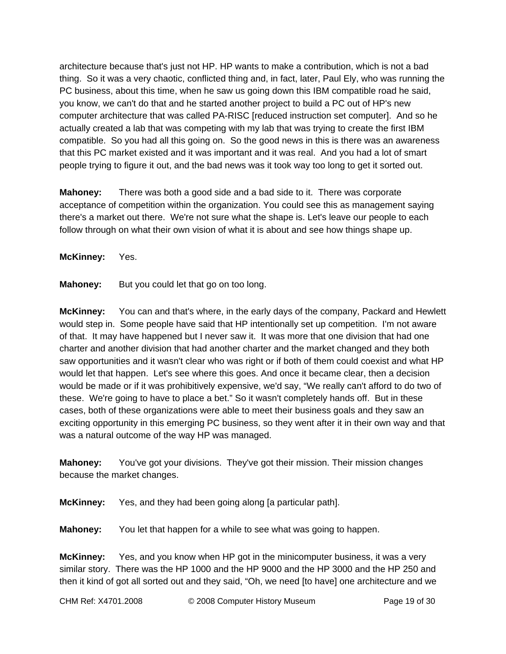architecture because that's just not HP. HP wants to make a contribution, which is not a bad thing. So it was a very chaotic, conflicted thing and, in fact, later, Paul Ely, who was running the PC business, about this time, when he saw us going down this IBM compatible road he said, you know, we can't do that and he started another project to build a PC out of HP's new computer architecture that was called PA-RISC [reduced instruction set computer]. And so he actually created a lab that was competing with my lab that was trying to create the first IBM compatible. So you had all this going on. So the good news in this is there was an awareness that this PC market existed and it was important and it was real. And you had a lot of smart people trying to figure it out, and the bad news was it took way too long to get it sorted out.

**Mahoney:** There was both a good side and a bad side to it. There was corporate acceptance of competition within the organization. You could see this as management saying there's a market out there. We're not sure what the shape is. Let's leave our people to each follow through on what their own vision of what it is about and see how things shape up.

**McKinney:** Yes.

**Mahoney:** But you could let that go on too long.

**McKinney:** You can and that's where, in the early days of the company, Packard and Hewlett would step in. Some people have said that HP intentionally set up competition. I'm not aware of that. It may have happened but I never saw it. It was more that one division that had one charter and another division that had another charter and the market changed and they both saw opportunities and it wasn't clear who was right or if both of them could coexist and what HP would let that happen. Let's see where this goes. And once it became clear, then a decision would be made or if it was prohibitively expensive, we'd say, "We really can't afford to do two of these. We're going to have to place a bet." So it wasn't completely hands off. But in these cases, both of these organizations were able to meet their business goals and they saw an exciting opportunity in this emerging PC business, so they went after it in their own way and that was a natural outcome of the way HP was managed.

**Mahoney:** You've got your divisions. They've got their mission. Their mission changes because the market changes.

**McKinney:** Yes, and they had been going along [a particular path].

**Mahoney:** You let that happen for a while to see what was going to happen.

**McKinney:** Yes, and you know when HP got in the minicomputer business, it was a very similar story. There was the HP 1000 and the HP 9000 and the HP 3000 and the HP 250 and then it kind of got all sorted out and they said, "Oh, we need [to have] one architecture and we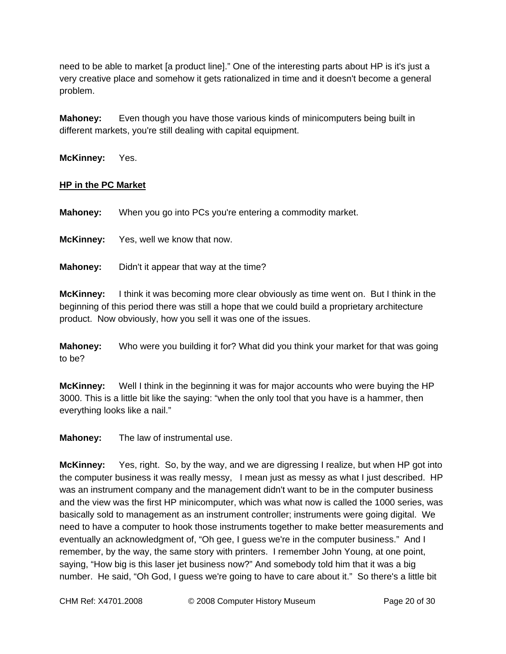need to be able to market [a product line]." One of the interesting parts about HP is it's just a very creative place and somehow it gets rationalized in time and it doesn't become a general problem.

**Mahoney:** Even though you have those various kinds of minicomputers being built in different markets, you're still dealing with capital equipment.

**McKinney:** Yes.

#### **HP in the PC Market**

**Mahoney:** When you go into PCs you're entering a commodity market.

**McKinney:** Yes, well we know that now.

**Mahoney:** Didn't it appear that way at the time?

**McKinney:** I think it was becoming more clear obviously as time went on. But I think in the beginning of this period there was still a hope that we could build a proprietary architecture product. Now obviously, how you sell it was one of the issues.

**Mahoney:** Who were you building it for? What did you think your market for that was going to be?

**McKinney:** Well I think in the beginning it was for major accounts who were buying the HP 3000. This is a little bit like the saying: "when the only tool that you have is a hammer, then everything looks like a nail."

**Mahoney:** The law of instrumental use.

**McKinney:** Yes, right. So, by the way, and we are digressing I realize, but when HP got into the computer business it was really messy, I mean just as messy as what I just described. HP was an instrument company and the management didn't want to be in the computer business and the view was the first HP minicomputer, which was what now is called the 1000 series, was basically sold to management as an instrument controller; instruments were going digital. We need to have a computer to hook those instruments together to make better measurements and eventually an acknowledgment of, "Oh gee, I guess we're in the computer business." And I remember, by the way, the same story with printers. I remember John Young, at one point, saying, "How big is this laser jet business now?" And somebody told him that it was a big number. He said, "Oh God, I guess we're going to have to care about it." So there's a little bit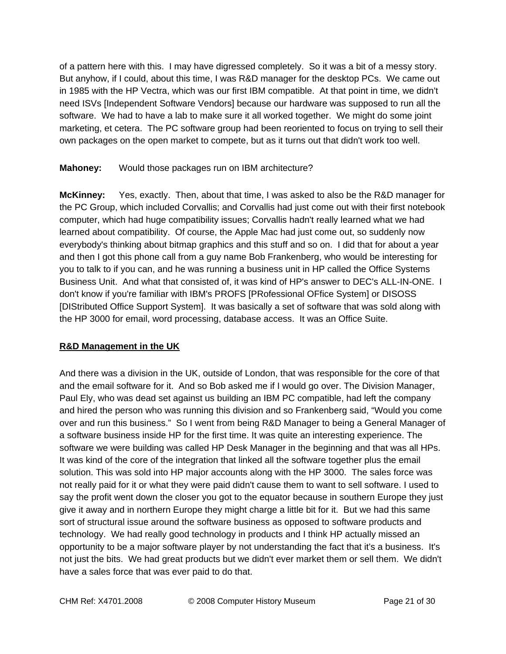of a pattern here with this. I may have digressed completely. So it was a bit of a messy story. But anyhow, if I could, about this time, I was R&D manager for the desktop PCs. We came out in 1985 with the HP Vectra, which was our first IBM compatible. At that point in time, we didn't need ISVs [Independent Software Vendors] because our hardware was supposed to run all the software. We had to have a lab to make sure it all worked together. We might do some joint marketing, et cetera. The PC software group had been reoriented to focus on trying to sell their own packages on the open market to compete, but as it turns out that didn't work too well.

#### **Mahoney:** Would those packages run on IBM architecture?

**McKinney:** Yes, exactly. Then, about that time, I was asked to also be the R&D manager for the PC Group, which included Corvallis; and Corvallis had just come out with their first notebook computer, which had huge compatibility issues; Corvallis hadn't really learned what we had learned about compatibility. Of course, the Apple Mac had just come out, so suddenly now everybody's thinking about bitmap graphics and this stuff and so on. I did that for about a year and then I got this phone call from a guy name Bob Frankenberg, who would be interesting for you to talk to if you can, and he was running a business unit in HP called the Office Systems Business Unit. And what that consisted of, it was kind of HP's answer to DEC's ALL-IN-ONE. I don't know if you're familiar with IBM's PROFS [PRofessional OFfice System] or DISOSS [DIStributed Office Support System]. It was basically a set of software that was sold along with the HP 3000 for email, word processing, database access. It was an Office Suite.

#### **R&D Management in the UK**

And there was a division in the UK, outside of London, that was responsible for the core of that and the email software for it. And so Bob asked me if I would go over. The Division Manager, Paul Ely, who was dead set against us building an IBM PC compatible, had left the company and hired the person who was running this division and so Frankenberg said, "Would you come over and run this business." So I went from being R&D Manager to being a General Manager of a software business inside HP for the first time. It was quite an interesting experience. The software we were building was called HP Desk Manager in the beginning and that was all HPs. It was kind of the core of the integration that linked all the software together plus the email solution. This was sold into HP major accounts along with the HP 3000. The sales force was not really paid for it or what they were paid didn't cause them to want to sell software. I used to say the profit went down the closer you got to the equator because in southern Europe they just give it away and in northern Europe they might charge a little bit for it. But we had this same sort of structural issue around the software business as opposed to software products and technology. We had really good technology in products and I think HP actually missed an opportunity to be a major software player by not understanding the fact that it's a business. It's not just the bits. We had great products but we didn't ever market them or sell them. We didn't have a sales force that was ever paid to do that.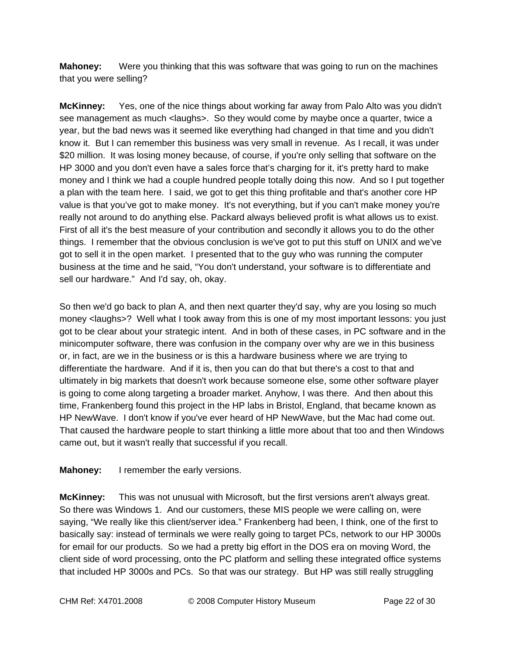**Mahoney:** Were you thinking that this was software that was going to run on the machines that you were selling?

**McKinney:** Yes, one of the nice things about working far away from Palo Alto was you didn't see management as much <laughs>. So they would come by maybe once a quarter, twice a year, but the bad news was it seemed like everything had changed in that time and you didn't know it. But I can remember this business was very small in revenue. As I recall, it was under \$20 million. It was losing money because, of course, if you're only selling that software on the HP 3000 and you don't even have a sales force that's charging for it, it's pretty hard to make money and I think we had a couple hundred people totally doing this now. And so I put together a plan with the team here. I said, we got to get this thing profitable and that's another core HP value is that you've got to make money. It's not everything, but if you can't make money you're really not around to do anything else. Packard always believed profit is what allows us to exist. First of all it's the best measure of your contribution and secondly it allows you to do the other things. I remember that the obvious conclusion is we've got to put this stuff on UNIX and we've got to sell it in the open market. I presented that to the guy who was running the computer business at the time and he said, "You don't understand, your software is to differentiate and sell our hardware." And I'd say, oh, okay.

So then we'd go back to plan A, and then next quarter they'd say, why are you losing so much money <laughs>? Well what I took away from this is one of my most important lessons: you just got to be clear about your strategic intent. And in both of these cases, in PC software and in the minicomputer software, there was confusion in the company over why are we in this business or, in fact, are we in the business or is this a hardware business where we are trying to differentiate the hardware. And if it is, then you can do that but there's a cost to that and ultimately in big markets that doesn't work because someone else, some other software player is going to come along targeting a broader market. Anyhow, I was there. And then about this time, Frankenberg found this project in the HP labs in Bristol, England, that became known as HP NewWave. I don't know if you've ever heard of HP NewWave, but the Mac had come out. That caused the hardware people to start thinking a little more about that too and then Windows came out, but it wasn't really that successful if you recall.

**Mahoney:** I remember the early versions.

**McKinney:** This was not unusual with Microsoft, but the first versions aren't always great. So there was Windows 1. And our customers, these MIS people we were calling on, were saying, "We really like this client/server idea." Frankenberg had been, I think, one of the first to basically say: instead of terminals we were really going to target PCs, network to our HP 3000s for email for our products. So we had a pretty big effort in the DOS era on moving Word, the client side of word processing, onto the PC platform and selling these integrated office systems that included HP 3000s and PCs. So that was our strategy. But HP was still really struggling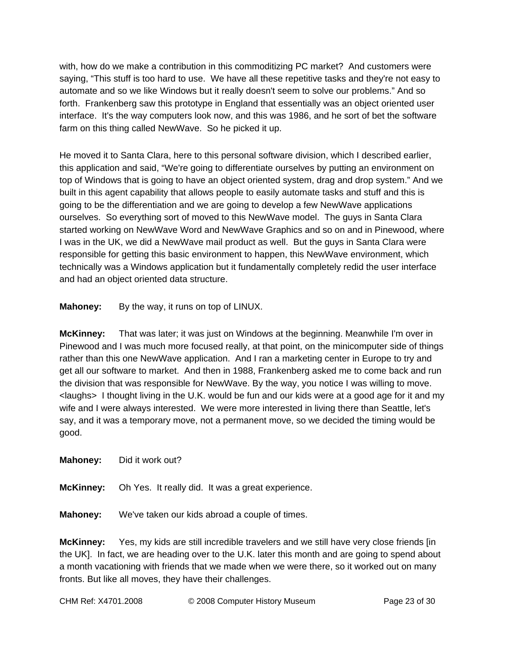with, how do we make a contribution in this commoditizing PC market? And customers were saying, "This stuff is too hard to use. We have all these repetitive tasks and they're not easy to automate and so we like Windows but it really doesn't seem to solve our problems." And so forth. Frankenberg saw this prototype in England that essentially was an object oriented user interface. It's the way computers look now, and this was 1986, and he sort of bet the software farm on this thing called NewWave. So he picked it up.

He moved it to Santa Clara, here to this personal software division, which I described earlier, this application and said, "We're going to differentiate ourselves by putting an environment on top of Windows that is going to have an object oriented system, drag and drop system." And we built in this agent capability that allows people to easily automate tasks and stuff and this is going to be the differentiation and we are going to develop a few NewWave applications ourselves. So everything sort of moved to this NewWave model. The guys in Santa Clara started working on NewWave Word and NewWave Graphics and so on and in Pinewood, where I was in the UK, we did a NewWave mail product as well. But the guys in Santa Clara were responsible for getting this basic environment to happen, this NewWave environment, which technically was a Windows application but it fundamentally completely redid the user interface and had an object oriented data structure.

**Mahoney:** By the way, it runs on top of LINUX.

**McKinney:** That was later; it was just on Windows at the beginning. Meanwhile I'm over in Pinewood and I was much more focused really, at that point, on the minicomputer side of things rather than this one NewWave application. And I ran a marketing center in Europe to try and get all our software to market. And then in 1988, Frankenberg asked me to come back and run the division that was responsible for NewWave. By the way, you notice I was willing to move. <laughs> I thought living in the U.K. would be fun and our kids were at a good age for it and my wife and I were always interested. We were more interested in living there than Seattle, let's say, and it was a temporary move, not a permanent move, so we decided the timing would be good.

**Mahoney:** Did it work out?

**McKinney:** Oh Yes. It really did. It was a great experience.

**Mahoney:** We've taken our kids abroad a couple of times.

**McKinney:** Yes, my kids are still incredible travelers and we still have very close friends [in the UK]. In fact, we are heading over to the U.K. later this month and are going to spend about a month vacationing with friends that we made when we were there, so it worked out on many fronts. But like all moves, they have their challenges.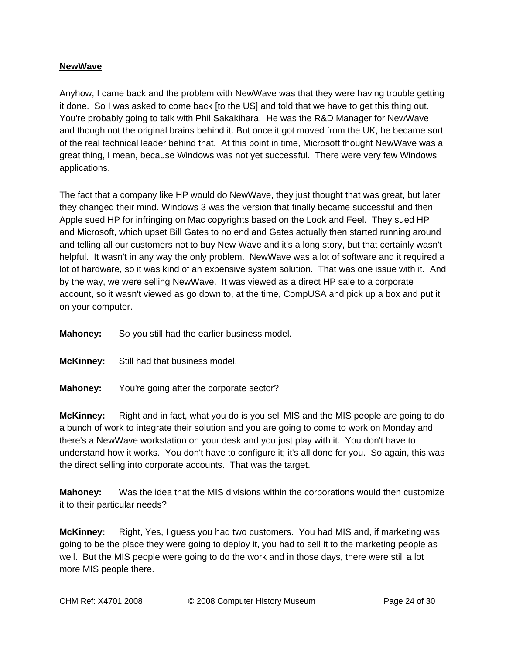### **NewWave**

Anyhow, I came back and the problem with NewWave was that they were having trouble getting it done. So I was asked to come back [to the US] and told that we have to get this thing out. You're probably going to talk with Phil Sakakihara. He was the R&D Manager for NewWave and though not the original brains behind it. But once it got moved from the UK, he became sort of the real technical leader behind that. At this point in time, Microsoft thought NewWave was a great thing, I mean, because Windows was not yet successful. There were very few Windows applications.

The fact that a company like HP would do NewWave, they just thought that was great, but later they changed their mind. Windows 3 was the version that finally became successful and then Apple sued HP for infringing on Mac copyrights based on the Look and Feel. They sued HP and Microsoft, which upset Bill Gates to no end and Gates actually then started running around and telling all our customers not to buy New Wave and it's a long story, but that certainly wasn't helpful. It wasn't in any way the only problem. NewWave was a lot of software and it required a lot of hardware, so it was kind of an expensive system solution. That was one issue with it. And by the way, we were selling NewWave. It was viewed as a direct HP sale to a corporate account, so it wasn't viewed as go down to, at the time, CompUSA and pick up a box and put it on your computer.

**Mahoney:** So you still had the earlier business model.

**McKinney:** Still had that business model.

**Mahoney:** You're going after the corporate sector?

**McKinney:** Right and in fact, what you do is you sell MIS and the MIS people are going to do a bunch of work to integrate their solution and you are going to come to work on Monday and there's a NewWave workstation on your desk and you just play with it. You don't have to understand how it works. You don't have to configure it; it's all done for you. So again, this was the direct selling into corporate accounts. That was the target.

**Mahoney:** Was the idea that the MIS divisions within the corporations would then customize it to their particular needs?

**McKinney:** Right, Yes, I guess you had two customers. You had MIS and, if marketing was going to be the place they were going to deploy it, you had to sell it to the marketing people as well. But the MIS people were going to do the work and in those days, there were still a lot more MIS people there.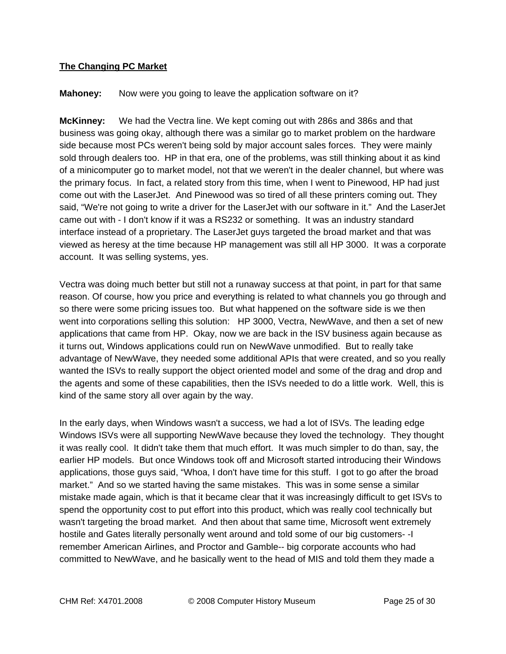# **The Changing PC Market**

### **Mahoney:** Now were you going to leave the application software on it?

**McKinney:** We had the Vectra line. We kept coming out with 286s and 386s and that business was going okay, although there was a similar go to market problem on the hardware side because most PCs weren't being sold by major account sales forces. They were mainly sold through dealers too. HP in that era, one of the problems, was still thinking about it as kind of a minicomputer go to market model, not that we weren't in the dealer channel, but where was the primary focus. In fact, a related story from this time, when I went to Pinewood, HP had just come out with the LaserJet. And Pinewood was so tired of all these printers coming out. They said, "We're not going to write a driver for the LaserJet with our software in it." And the LaserJet came out with - I don't know if it was a RS232 or something. It was an industry standard interface instead of a proprietary. The LaserJet guys targeted the broad market and that was viewed as heresy at the time because HP management was still all HP 3000. It was a corporate account. It was selling systems, yes.

Vectra was doing much better but still not a runaway success at that point, in part for that same reason. Of course, how you price and everything is related to what channels you go through and so there were some pricing issues too. But what happened on the software side is we then went into corporations selling this solution: HP 3000, Vectra, NewWave, and then a set of new applications that came from HP. Okay, now we are back in the ISV business again because as it turns out, Windows applications could run on NewWave unmodified. But to really take advantage of NewWave, they needed some additional APIs that were created, and so you really wanted the ISVs to really support the object oriented model and some of the drag and drop and the agents and some of these capabilities, then the ISVs needed to do a little work. Well, this is kind of the same story all over again by the way.

In the early days, when Windows wasn't a success, we had a lot of ISVs. The leading edge Windows ISVs were all supporting NewWave because they loved the technology. They thought it was really cool. It didn't take them that much effort. It was much simpler to do than, say, the earlier HP models. But once Windows took off and Microsoft started introducing their Windows applications, those guys said, "Whoa, I don't have time for this stuff. I got to go after the broad market." And so we started having the same mistakes. This was in some sense a similar mistake made again, which is that it became clear that it was increasingly difficult to get ISVs to spend the opportunity cost to put effort into this product, which was really cool technically but wasn't targeting the broad market. And then about that same time, Microsoft went extremely hostile and Gates literally personally went around and told some of our big customers- -I remember American Airlines, and Proctor and Gamble-- big corporate accounts who had committed to NewWave, and he basically went to the head of MIS and told them they made a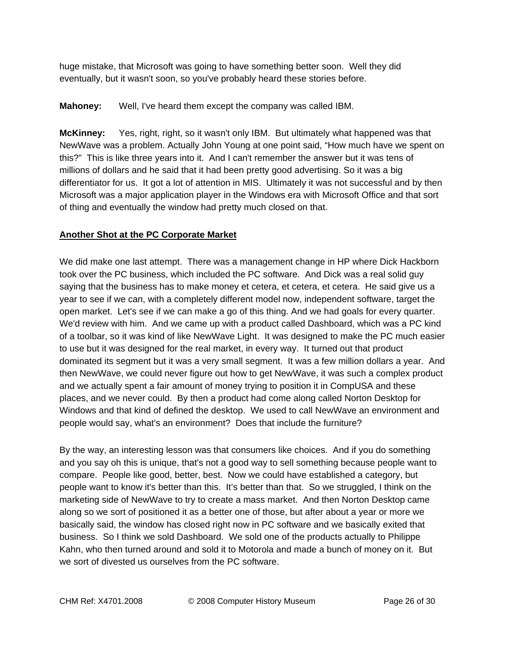huge mistake, that Microsoft was going to have something better soon. Well they did eventually, but it wasn't soon, so you've probably heard these stories before.

# **Mahoney:** Well, I've heard them except the company was called IBM.

**McKinney:** Yes, right, right, so it wasn't only IBM. But ultimately what happened was that NewWave was a problem. Actually John Young at one point said, "How much have we spent on this?" This is like three years into it. And I can't remember the answer but it was tens of millions of dollars and he said that it had been pretty good advertising. So it was a big differentiator for us. It got a lot of attention in MIS. Ultimately it was not successful and by then Microsoft was a major application player in the Windows era with Microsoft Office and that sort of thing and eventually the window had pretty much closed on that.

# **Another Shot at the PC Corporate Market**

We did make one last attempt. There was a management change in HP where Dick Hackborn took over the PC business, which included the PC software. And Dick was a real solid guy saying that the business has to make money et cetera, et cetera, et cetera. He said give us a year to see if we can, with a completely different model now, independent software, target the open market. Let's see if we can make a go of this thing. And we had goals for every quarter. We'd review with him. And we came up with a product called Dashboard, which was a PC kind of a toolbar, so it was kind of like NewWave Light. It was designed to make the PC much easier to use but it was designed for the real market, in every way. It turned out that product dominated its segment but it was a very small segment. It was a few million dollars a year. And then NewWave, we could never figure out how to get NewWave, it was such a complex product and we actually spent a fair amount of money trying to position it in CompUSA and these places, and we never could. By then a product had come along called Norton Desktop for Windows and that kind of defined the desktop. We used to call NewWave an environment and people would say, what's an environment? Does that include the furniture?

By the way, an interesting lesson was that consumers like choices. And if you do something and you say oh this is unique, that's not a good way to sell something because people want to compare. People like good, better, best. Now we could have established a category, but people want to know it's better than this. It's better than that. So we struggled, I think on the marketing side of NewWave to try to create a mass market. And then Norton Desktop came along so we sort of positioned it as a better one of those, but after about a year or more we basically said, the window has closed right now in PC software and we basically exited that business. So I think we sold Dashboard. We sold one of the products actually to Philippe Kahn, who then turned around and sold it to Motorola and made a bunch of money on it. But we sort of divested us ourselves from the PC software.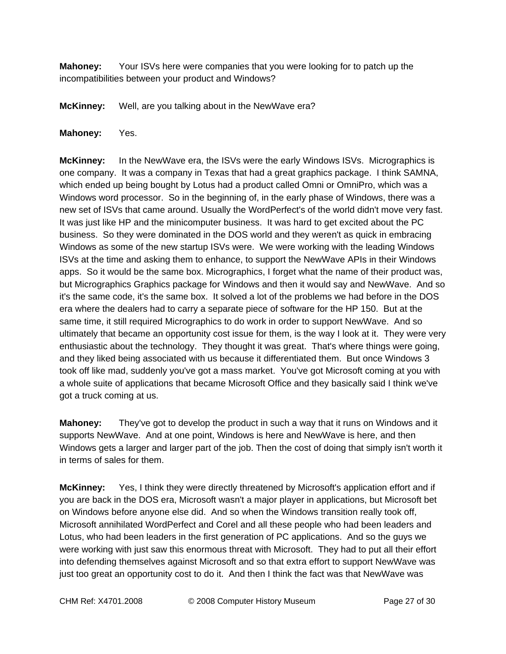**Mahoney:** Your ISVs here were companies that you were looking for to patch up the incompatibilities between your product and Windows?

**McKinney:** Well, are you talking about in the NewWave era?

### **Mahoney:** Yes.

**McKinney:** In the NewWave era, the ISVs were the early Windows ISVs. Micrographics is one company. It was a company in Texas that had a great graphics package. I think SAMNA, which ended up being bought by Lotus had a product called Omni or OmniPro, which was a Windows word processor. So in the beginning of, in the early phase of Windows, there was a new set of ISVs that came around. Usually the WordPerfect's of the world didn't move very fast. It was just like HP and the minicomputer business. It was hard to get excited about the PC business. So they were dominated in the DOS world and they weren't as quick in embracing Windows as some of the new startup ISVs were. We were working with the leading Windows ISVs at the time and asking them to enhance, to support the NewWave APIs in their Windows apps. So it would be the same box. Micrographics, I forget what the name of their product was, but Micrographics Graphics package for Windows and then it would say and NewWave. And so it's the same code, it's the same box. It solved a lot of the problems we had before in the DOS era where the dealers had to carry a separate piece of software for the HP 150. But at the same time, it still required Micrographics to do work in order to support NewWave. And so ultimately that became an opportunity cost issue for them, is the way I look at it. They were very enthusiastic about the technology. They thought it was great. That's where things were going, and they liked being associated with us because it differentiated them. But once Windows 3 took off like mad, suddenly you've got a mass market. You've got Microsoft coming at you with a whole suite of applications that became Microsoft Office and they basically said I think we've got a truck coming at us.

**Mahoney:** They've got to develop the product in such a way that it runs on Windows and it supports NewWave. And at one point, Windows is here and NewWave is here, and then Windows gets a larger and larger part of the job. Then the cost of doing that simply isn't worth it in terms of sales for them.

**McKinney:** Yes, I think they were directly threatened by Microsoft's application effort and if you are back in the DOS era, Microsoft wasn't a major player in applications, but Microsoft bet on Windows before anyone else did. And so when the Windows transition really took off, Microsoft annihilated WordPerfect and Corel and all these people who had been leaders and Lotus, who had been leaders in the first generation of PC applications. And so the guys we were working with just saw this enormous threat with Microsoft. They had to put all their effort into defending themselves against Microsoft and so that extra effort to support NewWave was just too great an opportunity cost to do it. And then I think the fact was that NewWave was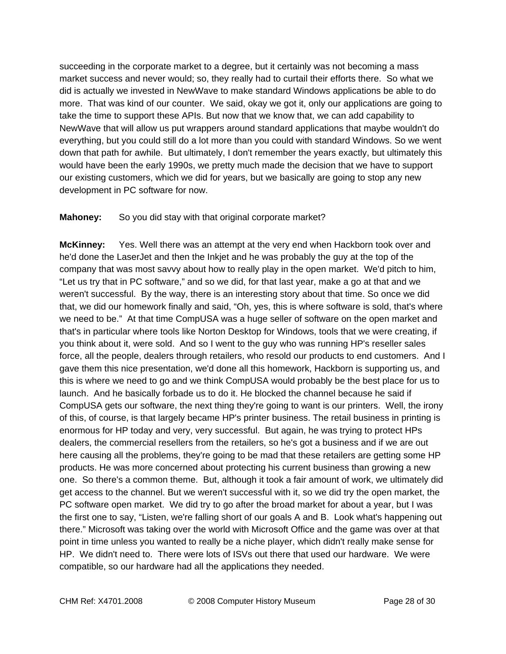succeeding in the corporate market to a degree, but it certainly was not becoming a mass market success and never would; so, they really had to curtail their efforts there. So what we did is actually we invested in NewWave to make standard Windows applications be able to do more. That was kind of our counter. We said, okay we got it, only our applications are going to take the time to support these APIs. But now that we know that, we can add capability to NewWave that will allow us put wrappers around standard applications that maybe wouldn't do everything, but you could still do a lot more than you could with standard Windows. So we went down that path for awhile. But ultimately, I don't remember the years exactly, but ultimately this would have been the early 1990s, we pretty much made the decision that we have to support our existing customers, which we did for years, but we basically are going to stop any new development in PC software for now.

### **Mahoney:** So you did stay with that original corporate market?

**McKinney:** Yes. Well there was an attempt at the very end when Hackborn took over and he'd done the LaserJet and then the Inkjet and he was probably the guy at the top of the company that was most savvy about how to really play in the open market. We'd pitch to him, "Let us try that in PC software," and so we did, for that last year, make a go at that and we weren't successful. By the way, there is an interesting story about that time. So once we did that, we did our homework finally and said, "Oh, yes, this is where software is sold, that's where we need to be." At that time CompUSA was a huge seller of software on the open market and that's in particular where tools like Norton Desktop for Windows, tools that we were creating, if you think about it, were sold. And so I went to the guy who was running HP's reseller sales force, all the people, dealers through retailers, who resold our products to end customers. And I gave them this nice presentation, we'd done all this homework, Hackborn is supporting us, and this is where we need to go and we think CompUSA would probably be the best place for us to launch. And he basically forbade us to do it. He blocked the channel because he said if CompUSA gets our software, the next thing they're going to want is our printers. Well, the irony of this, of course, is that largely became HP's printer business. The retail business in printing is enormous for HP today and very, very successful. But again, he was trying to protect HPs dealers, the commercial resellers from the retailers, so he's got a business and if we are out here causing all the problems, they're going to be mad that these retailers are getting some HP products. He was more concerned about protecting his current business than growing a new one. So there's a common theme. But, although it took a fair amount of work, we ultimately did get access to the channel. But we weren't successful with it, so we did try the open market, the PC software open market. We did try to go after the broad market for about a year, but I was the first one to say, "Listen, we're falling short of our goals A and B. Look what's happening out there." Microsoft was taking over the world with Microsoft Office and the game was over at that point in time unless you wanted to really be a niche player, which didn't really make sense for HP. We didn't need to. There were lots of ISVs out there that used our hardware. We were compatible, so our hardware had all the applications they needed.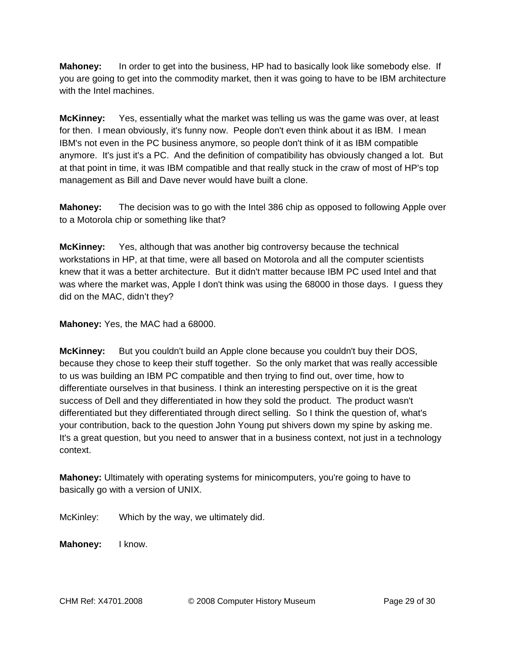**Mahoney:** In order to get into the business, HP had to basically look like somebody else. If you are going to get into the commodity market, then it was going to have to be IBM architecture with the Intel machines.

**McKinney:** Yes, essentially what the market was telling us was the game was over, at least for then. I mean obviously, it's funny now. People don't even think about it as IBM. I mean IBM's not even in the PC business anymore, so people don't think of it as IBM compatible anymore. It's just it's a PC. And the definition of compatibility has obviously changed a lot. But at that point in time, it was IBM compatible and that really stuck in the craw of most of HP's top management as Bill and Dave never would have built a clone.

**Mahoney:** The decision was to go with the Intel 386 chip as opposed to following Apple over to a Motorola chip or something like that?

**McKinney:** Yes, although that was another big controversy because the technical workstations in HP, at that time, were all based on Motorola and all the computer scientists knew that it was a better architecture. But it didn't matter because IBM PC used Intel and that was where the market was, Apple I don't think was using the 68000 in those days. I guess they did on the MAC, didn't they?

**Mahoney:** Yes, the MAC had a 68000.

**McKinney:** But you couldn't build an Apple clone because you couldn't buy their DOS, because they chose to keep their stuff together. So the only market that was really accessible to us was building an IBM PC compatible and then trying to find out, over time, how to differentiate ourselves in that business. I think an interesting perspective on it is the great success of Dell and they differentiated in how they sold the product. The product wasn't differentiated but they differentiated through direct selling. So I think the question of, what's your contribution, back to the question John Young put shivers down my spine by asking me. It's a great question, but you need to answer that in a business context, not just in a technology context.

**Mahoney:** Ultimately with operating systems for minicomputers, you're going to have to basically go with a version of UNIX.

McKinley: Which by the way, we ultimately did.

**Mahoney:** I know.